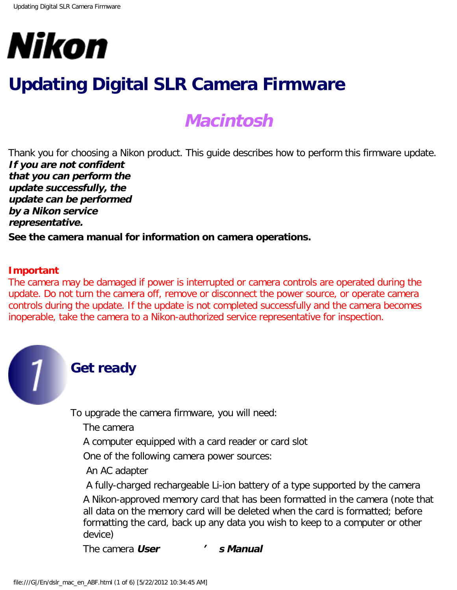

# **Updating Digital SLR Camera Firmware**

## **Macintosh**

Thank you for choosing a Nikon product. This guide describes how to perform this firmware update. **If you are not confident that you can perform the update successfully, the update can be performed by a Nikon service representative.**

**See the camera manual for information on camera operations.**

#### **Important**

The camera may be damaged if power is interrupted or camera controls are operated during the update. Do not turn the camera off, remove or disconnect the power source, or operate camera controls during the update. If the update is not completed successfully and the camera becomes inoperable, take the camera to a Nikon-authorized service representative for inspection.



### **Get ready**

To upgrade the camera firmware, you will need:

The camera

A computer equipped with a card reader or card slot

One of the following camera power sources:

An AC adapter

 A fully-charged rechargeable Li-ion battery of a type supported by the camera A Nikon-approved memory card that has been formatted in the camera (note that all data on the memory card will be deleted when the card is formatted; before formatting the card, back up any data you wish to keep to a computer or other device)

The camera **User ' s Manual**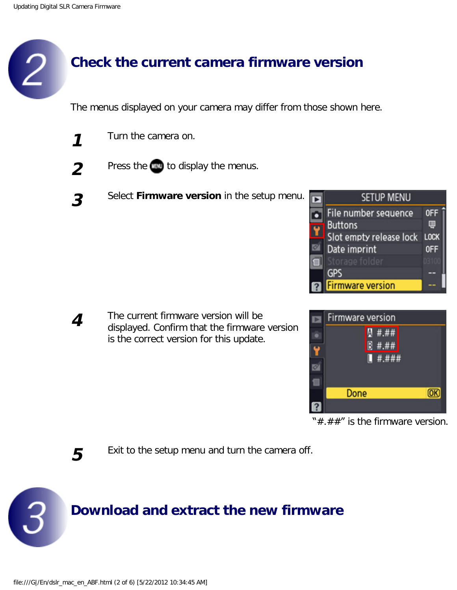### **Check the current camera firmware version**

The menus displayed on your camera may differ from those shown here.

- **1** Turn the camera on.
- 
- **2** Press the **text** to display the menus.
- **3** Select **Firmware version** in the setup menu.



**4** The current firmware version will be displayed. Confirm that the firmware version is the correct version for this update.



" $\#$ . $\#$  $\#$ " is the firmware version.

**5** Exit to the setup menu and turn the camera off.

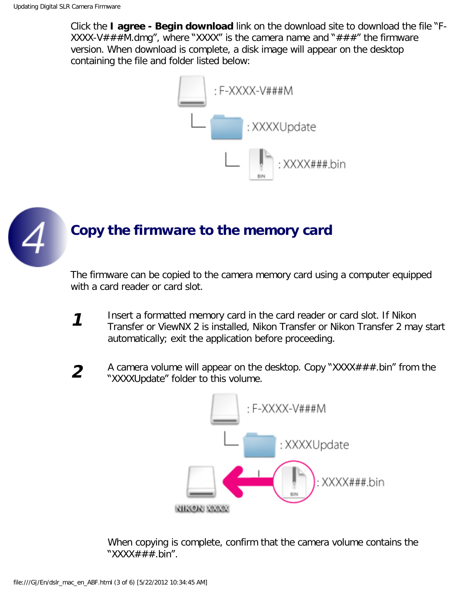Click the **I agree - Begin download** link on the download site to download the file "F-XXXX-V###M.dmg", where "XXXX" is the camera name and "###" the firmware version. When download is complete, a disk image will appear on the desktop containing the file and folder listed below:





The firmware can be copied to the camera memory card using a computer equipped with a card reader or card slot.

- **1** Insert a formatted memory card in the card reader or card slot. If Nikon Transfer or ViewNX 2 is installed, Nikon Transfer or Nikon Transfer 2 may start automatically; exit the application before proceeding.
- **2** A camera volume will appear on the desktop. Copy "XXXX###.bin" from the "XXXXUpdate" folder to this volume.



When copying is complete, confirm that the camera volume contains the "XXXX###.bin".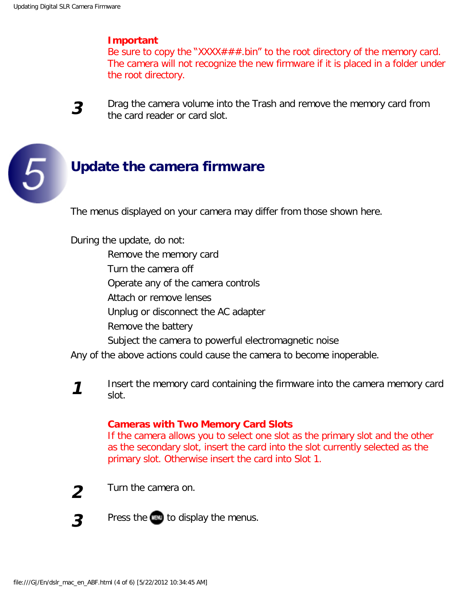### **Important**

Be sure to copy the "XXXX###.bin" to the root directory of the memory card. The camera will not recognize the new firmware if it is placed in a folder under the root directory.



5

**3** Drag the camera volume into the Trash and remove the memory card from the card reader or card slot.

# **Update the camera firmware**

The menus displayed on your camera may differ from those shown here.

During the update, do not:

Remove the memory card

Turn the camera off

Operate any of the camera controls

Attach or remove lenses

Unplug or disconnect the AC adapter

Remove the battery

Subject the camera to powerful electromagnetic noise

Any of the above actions could cause the camera to become inoperable.

**1** Insert the memory card containing the firmware into the camera memory card slot.

### **Cameras with Two Memory Card Slots**

If the camera allows you to select one slot as the primary slot and the other as the secondary slot, insert the card into the slot currently selected as the primary slot. Otherwise insert the card into Slot 1.



**2** Turn the camera on.

**3** Press the **to** display the menus.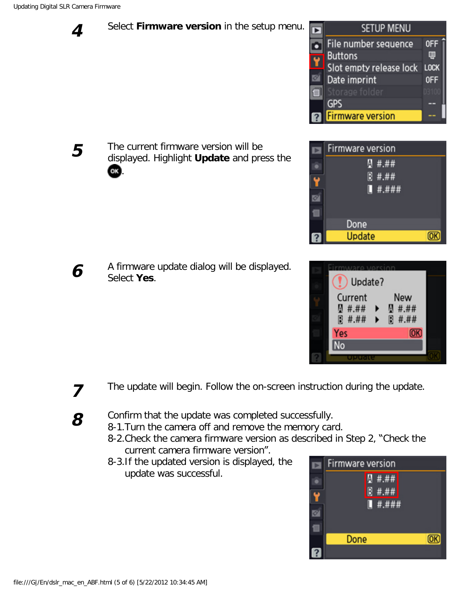**4** Select **Firmware version** in the setup menu.





|  | Update?                                |               |  |
|--|----------------------------------------|---------------|--|
|  | Current<br><b>Q</b> #.##               | New<br>图 #.## |  |
|  | 图 #.##<br>$\blacktriangleright$<br>Yes | 图 #.##<br>ОΚ  |  |
|  | No                                     |               |  |
|  |                                        |               |  |



**5** The current firmware version will be displayed. Highlight **Update** and press the OK. .

**6** A firmware update dialog will be displayed. Select **Yes**.

- **7** The update will begin. Follow the on-screen instruction during the update.
- **8** Confirm that the update was completed successfully.
	- 8-1.Turn the camera off and remove the memory card.
		- 8-2.Check the camera firmware version as described in Step 2, "Check the current camera firmware version".
		- 8-3.If the updated version is displayed, the update was successful.